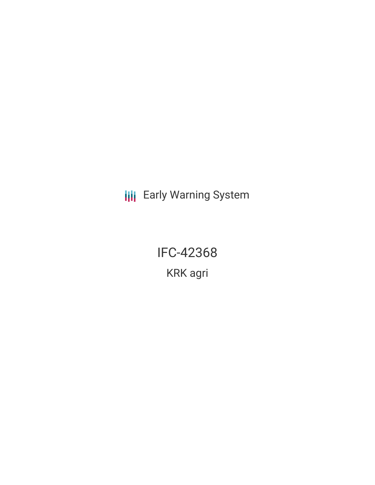**III** Early Warning System

IFC-42368 KRK agri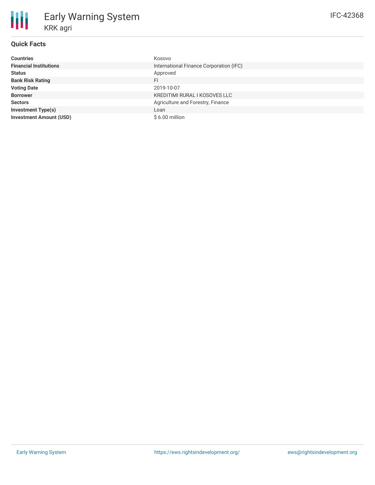| <b>Countries</b>               | Kosovo                                  |
|--------------------------------|-----------------------------------------|
| <b>Financial Institutions</b>  | International Finance Corporation (IFC) |
| <b>Status</b>                  | Approved                                |
| <b>Bank Risk Rating</b>        | FI.                                     |
| <b>Voting Date</b>             | 2019-10-07                              |
| <b>Borrower</b>                | KREDITIMI RURAL I KOSOVES LLC           |
| <b>Sectors</b>                 | Agriculture and Forestry, Finance       |
| <b>Investment Type(s)</b>      | Loan                                    |
| <b>Investment Amount (USD)</b> | $$6.00$ million                         |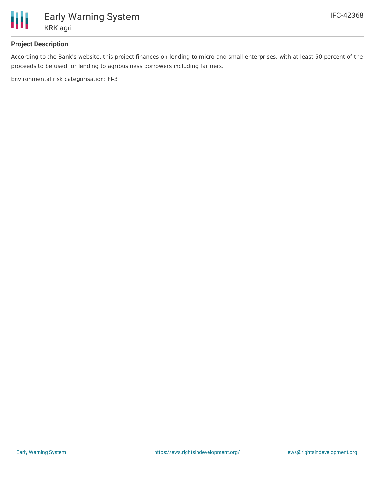

### **Project Description**

According to the Bank's website, this project finances on-lending to micro and small enterprises, with at least 50 percent of the proceeds to be used for lending to agribusiness borrowers including farmers.

Environmental risk categorisation: FI-3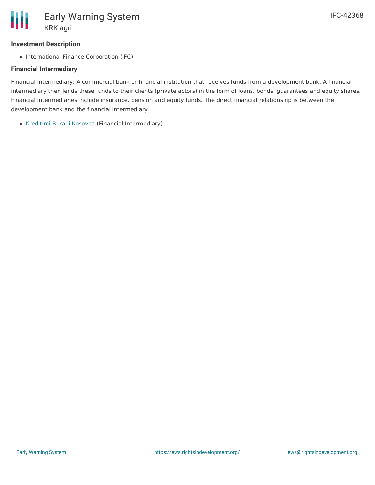# **Investment Description**

• International Finance Corporation (IFC)

# **Financial Intermediary**

Financial Intermediary: A commercial bank or financial institution that receives funds from a development bank. A financial intermediary then lends these funds to their clients (private actors) in the form of loans, bonds, guarantees and equity shares. Financial intermediaries include insurance, pension and equity funds. The direct financial relationship is between the development bank and the financial intermediary.

• [Kreditimi](file:///actor/1243/) Rural i Kosoves (Financial Intermediary)